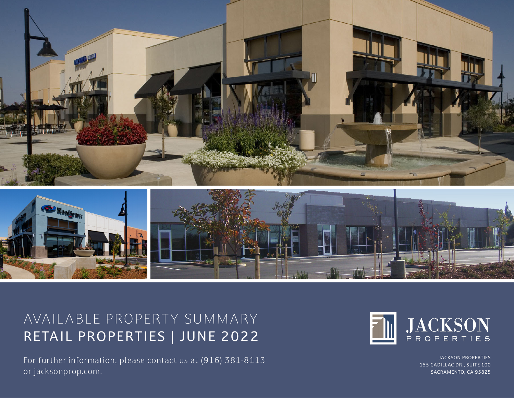



## AVAIL ABLE PROPERTY SUMMARY RETAIL PROPERTIES | JUNE 2022

For further information, please contact us at (916) 381-8113 or jacksonprop.com.



JACKSON PROPERTIES 155 CADILLAC DR., SUITE 100 SACRAMENTO, CA 95825